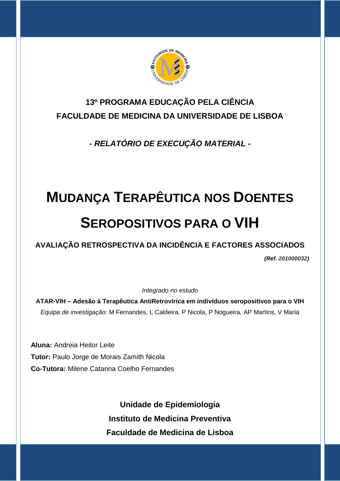

## **13º PROGRAMA EDUCAÇÃO PELA CIÊNCIA FACULDADE DE MEDICINA DA UNIVERSIDADE DE LISBOA**

*- RELATÓRIO DE EXECUÇÃO MATERIAL -*

# **MUDANÇA TERAPÊUTICA NOS DOENTES SEROPOSITIVOS PARA O VIH**

**AVALIAÇÃO RETROSPECTIVA DA INCIDÊNCIA E FACTORES ASSOCIADOS**

*(Ref. 201000032)*

*Integrado no estudo*

**ATAR-VIH – Adesão à Terapêutica AntiRetrovírica em indivíduos seropositivos para o VIH** *Equipa de investigação:* M Fernandes, L Caldeira, P Nicola, P Nogueira, AP Martins, V Maria

**Aluna:** Andreia Heitor Leite **Tutor:** Paulo Jorge de Morais Zamith Nicola **Co-Tutora:** Milene Catarina Coelho Fernandes

> **Unidade de Epidemiologia Instituto de Medicina Preventiva Faculdade de Medicina de Lisboa**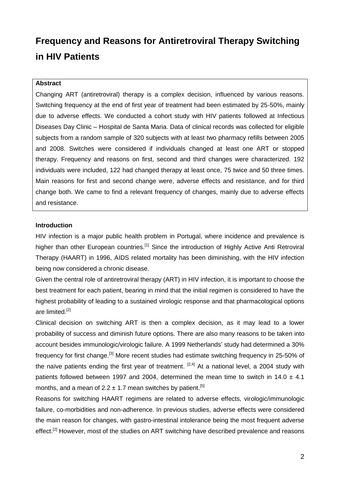# **Frequency and Reasons for Antiretroviral Therapy Switching in HIV Patients**

#### **Abstract**

Changing ART (antiretroviral) therapy is a complex decision, influenced by various reasons. Switching frequency at the end of first year of treatment had been estimated by 25-50%, mainly due to adverse effects. We conducted a cohort study with HIV patients followed at Infectious Diseases Day Clinic – Hospital de Santa Maria. Data of clinical records was collected for eligible subjects from a random sample of 320 subjects with at least two pharmacy refills between 2005 and 2008. Switches were considered if individuals changed at least one ART or stopped therapy. Frequency and reasons on first, second and third changes were characterized. 192 individuals were included, 122 had changed therapy at least once, 75 twice and 50 three times. Main reasons for first and second change were, adverse effects and resistance, and for third change both. We came to find a relevant frequency of changes, mainly due to adverse effects and resistance.

#### **Introduction**

HIV infection is a major public health problem in Portugal, where incidence and prevalence is higher than other European countries.<sup>[1]</sup> Since the introduction of Highly Active Anti Retroviral Therapy (HAART) in 1996, AIDS related mortality has been diminishing, with the HIV infection being now considered a chronic disease.

Given the central role of antiretroviral therapy (ART) in HIV infection, it is important to choose the best treatment for each patient, bearing in mind that the initial regimen is considered to have the highest probability of leading to a sustained virologic response and that pharmacological options are limited.<sup>[2]</sup>

Clinical decision on switching ART is then a complex decision, as it may lead to a lower probability of success and diminish future options. There are also many reasons to be taken into account besides immunologic/virologic failure. A 1999 Netherlands' study had determined a 30% frequency for first change.<sup>[3]</sup> More recent studies had estimate switching frequency in 25-50% of the naïve patients ending the first year of treatment. <sup>[2,4]</sup> At a national level, a 2004 study with patients followed between 1997 and 2004, determined the mean time to switch in 14.0  $\pm$  4.1 months, and a mean of 2.2  $\pm$  1.7 mean switches by patient.<sup>[5]</sup>

Reasons for switching HAART regimens are related to adverse effects, virologic/immunologic failure, co-morbidities and non-adherence. In previous studies, adverse effects were considered the main reason for changes, with gastro-intestinal intolerance being the most frequent adverse effect.<sup>[2]</sup> However, most of the studies on ART switching have described prevalence and reasons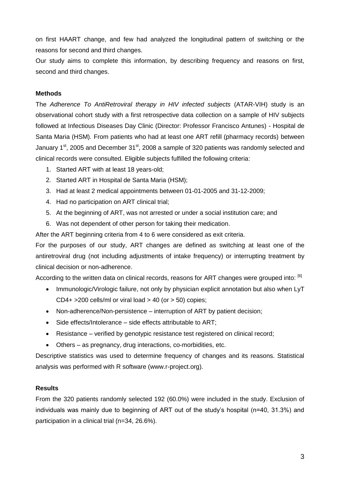on first HAART change, and few had analyzed the longitudinal pattern of switching or the reasons for second and third changes.

Our study aims to complete this information, by describing frequency and reasons on first, second and third changes.

#### **Methods**

The *Adherence To AntiRetroviral therapy in HIV infected subjects* (ATAR-VIH) study is an observational cohort study with a first retrospective data collection on a sample of HIV subjects followed at Infectious Diseases Day Clinic (Director: Professor Francisco Antunes) - Hospital de Santa Maria (HSM). From patients who had at least one ART refill (pharmacy records) between January 1<sup>st</sup>, 2005 and December 31<sup>st</sup>, 2008 a sample of 320 patients was randomly selected and clinical records were consulted. Eligible subjects fulfilled the following criteria:

- 1. Started ART with at least 18 years-old;
- 2. Started ART in Hospital de Santa Maria (HSM);
- 3. Had at least 2 medical appointments between 01-01-2005 and 31-12-2009;
- 4. Had no participation on ART clinical trial;
- 5. At the beginning of ART, was not arrested or under a social institution care; and
- 6. Was not dependent of other person for taking their medication.

After the ART beginning criteria from 4 to 6 were considered as exit criteria.

For the purposes of our study, ART changes are defined as switching at least one of the antiretroviral drug (not including adjustments of intake frequency) or interrupting treatment by clinical decision or non-adherence.

According to the written data on clinical records, reasons for ART changes were grouped into: <sup>[6]</sup>

- Immunologic/Virologic failure, not only by physician explicit annotation but also when LyT CD4+  $>$ 200 cells/ml or viral load  $>$  40 (or  $>$  50) copies;
- Non-adherence/Non-persistence interruption of ART by patient decision;
- Side effects/Intolerance side effects attributable to ART;
- Resistance verified by genotypic resistance test registered on clinical record;
- Others as pregnancy, drug interactions, co-morbidities, etc.

Descriptive statistics was used to determine frequency of changes and its reasons. Statistical analysis was performed with R software (www.r-project.org).

#### **Results**

From the 320 patients randomly selected 192 (60.0%) were included in the study. Exclusion of individuals was mainly due to beginning of ART out of the study's hospital (n=40, 31.3%) and participation in a clinical trial (n=34, 26.6%).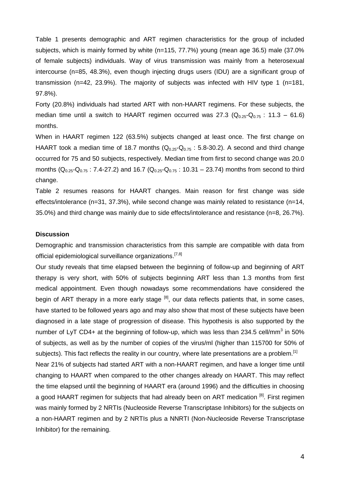Table 1 presents demographic and ART regimen characteristics for the group of included subjects, which is mainly formed by white (n=115, 77.7%) young (mean age 36.5) male (37.0% of female subjects) individuals. Way of virus transmission was mainly from a heterosexual intercourse (n=85, 48.3%), even though injecting drugs users (IDU) are a significant group of transmission (n=42, 23.9%). The majority of subjects was infected with HIV type 1 (n=181, 97.8%).

Forty (20.8%) individuals had started ART with non-HAART regimens. For these subjects, the median time until a switch to HAART regimen occurred was 27.3 ( $Q_{0.25}$ - $Q_{0.75}$  : 11.3 – 61.6) months.

When in HAART regimen 122 (63.5%) subjects changed at least once. The first change on HAART took a median time of 18.7 months  $(Q_{0.25}-Q_{0.75} : 5.8-30.2)$ . A second and third change occurred for 75 and 50 subjects, respectively. Median time from first to second change was 20.0 months ( $Q_{0.25}$ - $Q_{0.75}$ : 7.4-27.2) and 16.7 ( $Q_{0.25}$ - $Q_{0.75}$ : 10.31 – 23.74) months from second to third change.

Table 2 resumes reasons for HAART changes. Main reason for first change was side effects/intolerance (n=31, 37.3%), while second change was mainly related to resistance (n=14, 35.0%) and third change was mainly due to side effects/intolerance and resistance (n=8, 26.7%).

#### **Discussion**

Demographic and transmission characteristics from this sample are compatible with data from official epidemiological surveillance organizations.<sup>[7,8]</sup>

Our study reveals that time elapsed between the beginning of follow-up and beginning of ART therapy is very short, with 50% of subjects beginning ART less than 1.3 months from first medical appointment. Even though nowadays some recommendations have considered the begin of ART therapy in a more early stage  $\left[8\right]$ , our data reflects patients that, in some cases, have started to be followed years ago and may also show that most of these subjects have been diagnosed in a late stage of progression of disease. This hypothesis is also supported by the number of LyT CD4+ at the beginning of follow-up, which was less than 234.5 cell/mm<sup>3</sup> in 50% of subjects, as well as by the number of copies of the virus/ml (higher than 115700 for 50% of subjects). This fact reflects the reality in our country, where late presentations are a problem.<sup>[1]</sup> Near 21% of subjects had started ART with a non-HAART regimen, and have a longer time until changing to HAART when compared to the other changes already on HAART. This may reflect the time elapsed until the beginning of HAART era (around 1996) and the difficulties in choosing a good HAART regimen for subjects that had already been on ART medication  $[8]$ . First regimen was mainly formed by 2 NRTIs (Nucleoside Reverse Transcriptase Inhibitors) for the subjects on a non-HAART regimen and by 2 NRTIs plus a NNRTI (Non-Nucleoside Reverse Transcriptase

Inhibitor) for the remaining.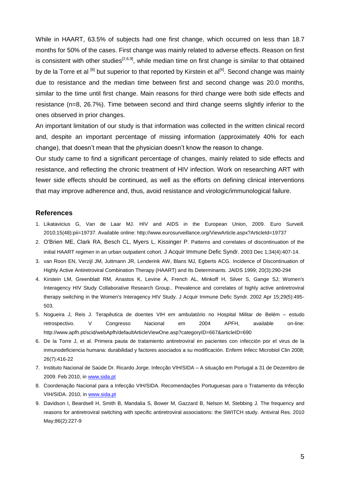While in HAART, 63.5% of subjects had one first change, which occurred on less than 18.7 months for 50% of the cases. First change was mainly related to adverse effects. Reason on first is consistent with other studies<sup>[2,6,9]</sup>, while median time on first change is similar to that obtained by de la Torre et al  $^{[6]}$  but superior to that reported by Kirstein et al<sup>[4]</sup>. Second change was mainly due to resistance and the median time between first and second change was 20.0 months, similar to the time until first change. Main reasons for third change were both side effects and resistance (n=8, 26.7%). Time between second and third change seems slightly inferior to the ones observed in prior changes.

An important limitation of our study is that information was collected in the written clinical record and, despite an important percentage of missing information (approximately 40% for each change), that doesn't mean that the physician doesn't know the reason to change.

Our study came to find a significant percentage of changes, mainly related to side effects and resistance, and reflecting the chronic treatment of HIV infection. Work on researching ART with fewer side effects should be continued, as well as the efforts on defining clinical interventions that may improve adherence and, thus, avoid resistance and virologic/immunological failure.

#### **References**

- 1. Likatavicius G, Van de Laar MJ. HIV and AIDS in the European Union, 2009. Euro Surveill. 2010;15(48):pii=19737. Available online: http://www.eurosurveillance.org/ViewArticle.aspx?ArticleId=19737
- 2. [O'Brien ME](http://www.ncbi.nlm.nih.gov/pubmed?term=%22O), [Clark RA](http://www.ncbi.nlm.nih.gov/pubmed?term=%22Clark%20RA%22%5BAuthor%5D), [Besch CL](http://www.ncbi.nlm.nih.gov/pubmed?term=%22Besch%20CL%22%5BAuthor%5D), [Myers L](http://www.ncbi.nlm.nih.gov/pubmed?term=%22Myers%20L%22%5BAuthor%5D), [Kissinger P](http://www.ncbi.nlm.nih.gov/pubmed?term=%22Kissinger%20P%22%5BAuthor%5D). Patterns and correlates of discontinuation of the initial HAART regimen in an urban outpatient cohort. [J Acquir Immune Defic Syndr.](javascript:AL_get(this,%20) 2003 Dec 1;34(4):407-14.
- 3. van Roon EN, Verzijl JM, Juttmann JR, Lenderink AW, Blans MJ, Egberts ACG. Incidence of Discontinuation of Highly Active Antiretroviral Combination Therapy (HAART) and Its Determinants. JAIDS 1999; 20(3):290-294
- 4. Kirstein LM, Greenblatt RM, Anastos K, Levine A, French AL, Minkoff H, Silver S, Gange SJ; Women's Interagency HIV Study Collaborative Research Group.. Prevalence and correlates of highly active antiretroviral therapy switching in the Women's Interagency HIV Study. J Acquir Immune Defic Syndr. 2002 Apr 15;29(5):495- 503.
- 5. Nogueira J, Reis J. Terapêutica de doentes VIH em ambulatório no Hospital Militar de Belém estudo retrospectivo. V Congresso Nacional em 2004 APFH, available on-line: http://www.apfh.pt/scid/webApfh/defaultArticleViewOne.asp?categoryID=667&articleID=690
- 6. De la Torre J, et al. Primera pauta de tratamiento antiretroviral en pacientes con infección por el virus de la inmunodeficiencia humana: durabilidad y factores asociados a su modificación. Enferm Infecc Microbiol Clin 2008; 26(7):416-22
- 7. Instituto Nacional de Saúde Dr. Ricardo Jorge. Infecção VIH/SIDA A situação em Portugal a 31 de Dezembro de 2009. Feb 2010, in [www.sida.pt](http://www.sida.pt/)
- 8. Coordenação Nacional para a Infecção VIH/SIDA. Recomendações Portuguesas para o Tratamento da Infecção VIH/SIDA. 2010, i[n www.sida.pt](http://www.sida.pt/)
- 9. [Davidson I,](http://www.ncbi.nlm.nih.gov/pubmed?term=%22Davidson%20I%22%5BAuthor%5D) [Beardsell H,](http://www.ncbi.nlm.nih.gov/pubmed?term=%22Beardsell%20H%22%5BAuthor%5D) [Smith B,](http://www.ncbi.nlm.nih.gov/pubmed?term=%22Smith%20B%22%5BAuthor%5D) [Mandalia S,](http://www.ncbi.nlm.nih.gov/pubmed?term=%22Mandalia%20S%22%5BAuthor%5D) [Bower M,](http://www.ncbi.nlm.nih.gov/pubmed?term=%22Bower%20M%22%5BAuthor%5D) [Gazzard B,](http://www.ncbi.nlm.nih.gov/pubmed?term=%22Gazzard%20B%22%5BAuthor%5D) [Nelson M,](http://www.ncbi.nlm.nih.gov/pubmed?term=%22Nelson%20M%22%5BAuthor%5D) [Stebbing J.](http://www.ncbi.nlm.nih.gov/pubmed?term=%22Stebbing%20J%22%5BAuthor%5D) The frequency and reasons for antiretroviral switching with specific antiretroviral associations: the SWITCH study. [Antiviral Res.](javascript:AL_get(this,%20) 2010 May;86(2):227-9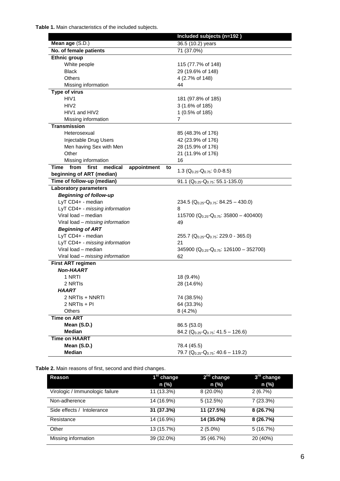**Table 1.** Main characteristics of the included subjects.

|                                                    | Included subjects (n=192)                           |
|----------------------------------------------------|-----------------------------------------------------|
| Mean age (S.D.)                                    | 36.5 (10.2) years                                   |
| No. of female patients                             | 71 (37.0%)                                          |
| <b>Ethnic group</b>                                |                                                     |
| White people                                       | 115 (77.7% of 148)                                  |
| <b>Black</b>                                       | 29 (19.6% of 148)                                   |
| Others                                             | 4 (2.7% of 148)                                     |
| Missing information                                | 44                                                  |
| <b>Type of virus</b>                               |                                                     |
| HIV1                                               | 181 (97.8% of 185)                                  |
| HIV <sub>2</sub>                                   | 3 (1.6% of 185)                                     |
| HIV1 and HIV2                                      | 1 (0.5% of 185)                                     |
| Missing information                                | 7                                                   |
| <b>Transmission</b>                                |                                                     |
| Heterosexual                                       | 85 (48.3% of 176)                                   |
| Injectable Drug Users                              | 42 (23.9% of 176)                                   |
| Men having Sex with Men                            | 28 (15.9% of 176)                                   |
| Other                                              | 21 (11.9% of 176)                                   |
| Missing information                                | 16                                                  |
| from first<br>medical<br>appointment<br>Time<br>to | 1.3 ( $Q_{0.25}$ - $Q_{0.75}$ : 0.0-8.5)            |
| beginning of ART (median)                          |                                                     |
| Time of follow-up (median)                         | 91.1 ( $Q_{0.25}$ - $Q_{0.75}$ : 55.1-135.0)        |
| <b>Laboratory parameters</b>                       |                                                     |
| <b>Beginning of follow-up</b>                      |                                                     |
| LyT CD4+ - median                                  | 234.5 ( $Q_{0.25}$ - $Q_{0.75}$ : 84.25 – 430.0)    |
| LyT CD4+ - missing information                     | 8                                                   |
| Viral load - median                                | 115700 ( $Q_{0.25}$ - $Q_{0.75}$ : 35800 - 400400)  |
| Viral load - missing information                   | 49                                                  |
| <b>Beginning of ART</b>                            |                                                     |
| LyT CD4+ - median                                  | 255.7 ( $Q_{0.25}$ - $Q_{0.75}$ : 229.0 - 365.0)    |
| LyT CD4+ - missing information                     | 21                                                  |
| Viral load - median                                | 345900 ( $Q_{0.25}$ - $Q_{0.75}$ : 126100 - 352700) |
| Viral load - missing information                   | 62                                                  |
| First ART regimen                                  |                                                     |
| <b>Non-HAART</b>                                   |                                                     |
| 1 NRTI                                             | 18 (9.4%)                                           |
| 2 NRTIS                                            | 28 (14.6%)                                          |
| <b>HAART</b>                                       |                                                     |
| 2 NRTIS + NNRTI                                    | 74 (38.5%)                                          |
| 2 NRTIs + PI                                       | 64 (33.3%)                                          |
| Others                                             | 8(4.2%)                                             |
| <b>Time on ART</b>                                 |                                                     |
| Mean (S.D.)                                        | 86.5 (53.0)                                         |
| <b>Median</b>                                      | 84.2 ( $Q_{0.25}$ - $Q_{0.75}$ : 41.5 – 126.6)      |
| <b>Time on HAART</b>                               |                                                     |
| Mean (S.D.)                                        | 78.4 (45.5)                                         |
| <b>Median</b>                                      | 79.7 ( $Q_{0.25}$ - $Q_{0.75}$ : 40.6 - 119.2)      |

**Table 2.** Main reasons of first, second and third changes.

| Reason                          | 1 <sup>st</sup> change | $2na$ change | 3 <sup>ra</sup> change |
|---------------------------------|------------------------|--------------|------------------------|
|                                 | n (%)                  | n (%)        | n (%)                  |
| Virologic / Immunologic failure | 11 (13.3%)             | $8(20.0\%)$  | 2(6.7%)                |
| Non-adherence                   | 14 (16.9%)             | 5(12.5%)     | $7(23.3\%)$            |
| Side effects /<br>Intolerance   | 31 (37.3%)             | 11 (27.5%)   | 8 (26.7%)              |
| Resistance                      | 14 (16.9%)             | 14 (35.0%)   | 8(26.7%)               |
| Other                           | 13 (15.7%)             | $2(5.0\%)$   | 5(16.7%)               |
| Missing information             | 39 (32.0%)             | 35 (46.7%)   | 20 (40%)               |